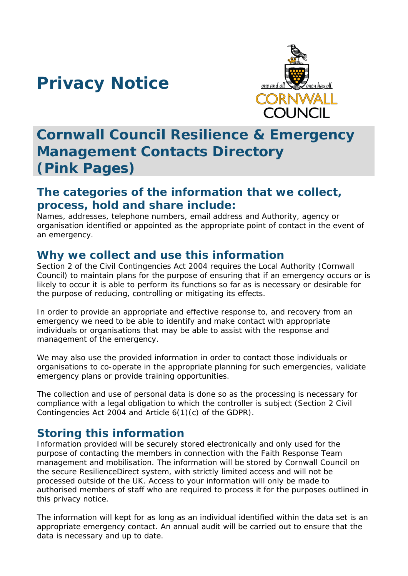# **Privacy Notice**



## **Cornwall Council Resilience & Emergency Management Contacts Directory (Pink Pages)**

#### **The categories of the information that we collect, process, hold and share include:**

Names, addresses, telephone numbers, email address and Authority, agency or organisation identified or appointed as the appropriate point of contact in the event of an emergency.

#### **Why we collect and use this information**

Section 2 of the Civil Contingencies Act 2004 requires the Local Authority (Cornwall Council) to maintain plans for the purpose of ensuring that if an emergency occurs or is likely to occur it is able to perform its functions so far as is necessary or desirable for the purpose of reducing, controlling or mitigating its effects.

In order to provide an appropriate and effective response to, and recovery from an emergency we need to be able to identify and make contact with appropriate individuals or organisations that may be able to assist with the response and management of the emergency.

We may also use the provided information in order to contact those individuals or organisations to co-operate in the appropriate planning for such emergencies, validate emergency plans or provide training opportunities.

The collection and use of personal data is done so as the processing is necessary for compliance with a legal obligation to which the controller is subject (Section 2 Civil Contingencies Act 2004 and Article 6(1)(c) of the GDPR).

#### **Storing this information**

Information provided will be securely stored electronically and only used for the purpose of contacting the members in connection with the Faith Response Team management and mobilisation. The information will be stored by Cornwall Council on the secure ResilienceDirect system, with strictly limited access and will not be processed outside of the UK. Access to your information will only be made to authorised members of staff who are required to process it for the purposes outlined in this privacy notice.

The information will kept for as long as an individual identified within the data set is an appropriate emergency contact. An annual audit will be carried out to ensure that the data is necessary and up to date.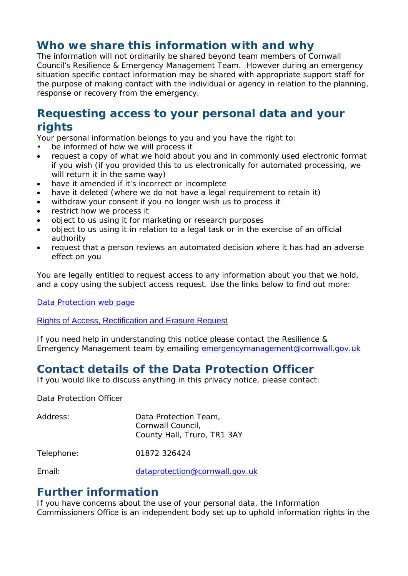#### **Who we share this information with and why**

The information will not ordinarily be shared beyond team members of Cornwall Council's Resilience & Emergency Management Team. However during an emergency situation specific contact information may be shared with appropriate support staff for the purpose of making contact with the individual or agency in relation to the planning, response or recovery from the emergency.

#### **Requesting access to your personal data and your rights**

Your personal information belongs to you and you have the right to:

- be informed of how we will process it
- request a copy of what we hold about you and in commonly used electronic format if you wish (if you provided this to us electronically for automated processing, we will return it in the same way)
- have it amended if it's incorrect or incomplete
- have it deleted (where we do not have a legal requirement to retain it)
- withdraw your consent if you no longer wish us to process it
- restrict how we process it
- object to us using it for marketing or research purposes
- object to us using it in relation to a legal task or in the exercise of an official authority
- request that a person reviews an automated decision where it has had an adverse effect on you

You are legally entitled to request access to any information about you that we hold, and a copy using the subject access request. Use the links below to find out more:

[Data Protection web page](http://www.cornwall.gov.uk/council-and-democracy/data-protection-and-freedom-of-information/data-protection)

#### [Rights of Access, Rectification and Erasure Request](https://www.cornwall.gov.uk/media/33315555/form-2018-rare-form-blank.pdf)

If you need help in understanding this notice please contact the Resilience & Emergency Management team by emailing [emergencymanagement@cornwall.gov.uk](mailto:emergencymanagement@cornwall.gov.uk)

### **Contact details of the Data Protection Officer**

If you would like to discuss anything in this privacy notice, please contact:

Data Protection Officer

| Address:   | Data Protection Team,<br>Cornwall Council,<br>County Hall, Truro, TR1 3AY |
|------------|---------------------------------------------------------------------------|
| Telephone: | 01872 326424                                                              |
|            |                                                                           |

Email: [dataprotection@cornwall.gov.uk](mailto:dataprotection@cornwall.gov.uk)

#### **Further information**

If you have concerns about the use of your personal data, the Information Commissioners Office is an independent body set up to uphold information rights in the